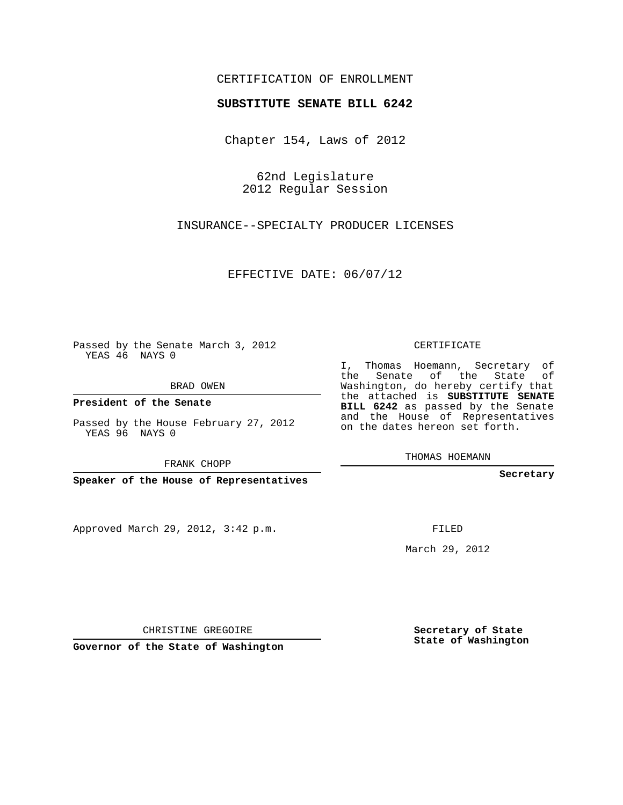## CERTIFICATION OF ENROLLMENT

## **SUBSTITUTE SENATE BILL 6242**

Chapter 154, Laws of 2012

62nd Legislature 2012 Regular Session

INSURANCE--SPECIALTY PRODUCER LICENSES

EFFECTIVE DATE: 06/07/12

Passed by the Senate March 3, 2012 YEAS 46 NAYS 0

BRAD OWEN

**President of the Senate**

Passed by the House February 27, 2012 YEAS 96 NAYS 0

FRANK CHOPP

**Speaker of the House of Representatives**

Approved March 29, 2012, 3:42 p.m.

CERTIFICATE

I, Thomas Hoemann, Secretary of the Senate of the State of Washington, do hereby certify that the attached is **SUBSTITUTE SENATE BILL 6242** as passed by the Senate and the House of Representatives on the dates hereon set forth.

THOMAS HOEMANN

**Secretary**

FILED

March 29, 2012

**Secretary of State State of Washington**

CHRISTINE GREGOIRE

**Governor of the State of Washington**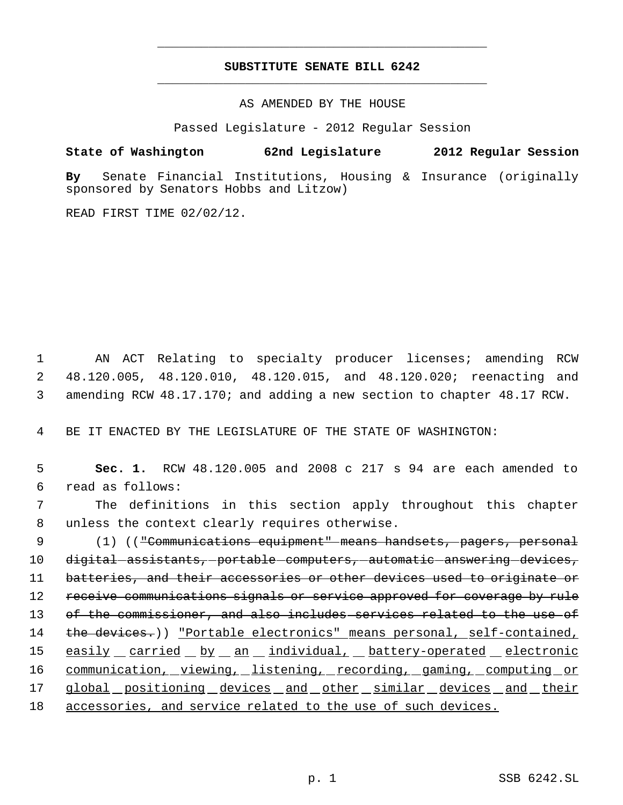## **SUBSTITUTE SENATE BILL 6242** \_\_\_\_\_\_\_\_\_\_\_\_\_\_\_\_\_\_\_\_\_\_\_\_\_\_\_\_\_\_\_\_\_\_\_\_\_\_\_\_\_\_\_\_\_

\_\_\_\_\_\_\_\_\_\_\_\_\_\_\_\_\_\_\_\_\_\_\_\_\_\_\_\_\_\_\_\_\_\_\_\_\_\_\_\_\_\_\_\_\_

AS AMENDED BY THE HOUSE

Passed Legislature - 2012 Regular Session

## **State of Washington 62nd Legislature 2012 Regular Session**

**By** Senate Financial Institutions, Housing & Insurance (originally sponsored by Senators Hobbs and Litzow)

READ FIRST TIME 02/02/12.

 1 AN ACT Relating to specialty producer licenses; amending RCW 2 48.120.005, 48.120.010, 48.120.015, and 48.120.020; reenacting and 3 amending RCW 48.17.170; and adding a new section to chapter 48.17 RCW.

4 BE IT ENACTED BY THE LEGISLATURE OF THE STATE OF WASHINGTON:

| 5               | Sec. 1. RCW 48.120.005 and 2008 c 217 s 94 are each amended to          |
|-----------------|-------------------------------------------------------------------------|
| 6               | read as follows:                                                        |
| 7               | The definitions in this section apply throughout this chapter           |
| 8               | unless the context clearly requires otherwise.                          |
| 9               | (1) (("Communications equipment" means handsets, pagers, personal       |
| 10              | digital-assistants,-portable-computers,-automatic-answering-devices,    |
| 11              | batteries, and their accessories or other devices used to originate or  |
| 12 <sub>2</sub> | receive communications signals or service approved for coverage by rule |
| 13              | of the commissioner, and also includes services related to the use of   |
| 14              | the devices.)) "Portable electronics" means personal, self-contained,   |
| 15              | easily carried by an individual, battery-operated electronic            |
| 16              | communication, viewing, listening, recording, gaming, computing or      |
| 17              | global positioning devices and other similar devices and their          |
| 18              | accessories, and service related to the use of such devices.            |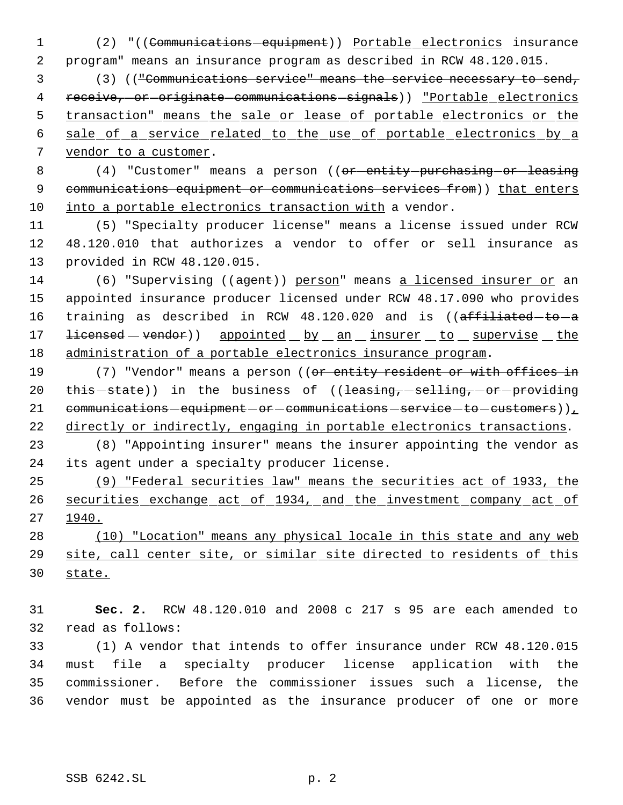(2) "((Communications equipment)) Portable electronics insurance program" means an insurance program as described in RCW 48.120.015.

 (3) (("Communications service" means the service necessary to send, 4 receive, or originate communications signals) ) "Portable electronics 5 transaction" means the sale or lease of portable electronics or the sale of a service related to the use of portable electronics by a vendor to a customer.

8 (4) "Customer" means a person ((or-entity-purchasing-or-leasing 9 communications equipment or communications services from)) that enters into a portable electronics transaction with a vendor.

 (5) "Specialty producer license" means a license issued under RCW 48.120.010 that authorizes a vendor to offer or sell insurance as provided in RCW 48.120.015.

14 (6) "Supervising ((agent)) person" means a licensed insurer or an appointed insurance producer licensed under RCW 48.17.090 who provides 16 training as described in RCW 48.120.020 and is ((affiliated-to-a 17 <del>licensed</del> – vendor)) appointed by an insurer to supervise the administration of a portable electronics insurance program.

19 (7) "Vendor" means a person ((or entity resident or with offices in 20 this state)) in the business of ((leasing, selling, or providing 21 communications  $-equipment-or-communications - service-to-customers)$ ), directly or indirectly, engaging in portable electronics transactions.

 (8) "Appointing insurer" means the insurer appointing the vendor as its agent under a specialty producer license.

 (9) "Federal securities law" means the securities act of 1933, the securities exchange act of 1934, and the investment company act of 1940.

 (10) "Location" means any physical locale in this state and any web site, call center site, or similar site directed to residents of this state.

 **Sec. 2.** RCW 48.120.010 and 2008 c 217 s 95 are each amended to read as follows:

 (1) A vendor that intends to offer insurance under RCW 48.120.015 must file a specialty producer license application with the commissioner. Before the commissioner issues such a license, the vendor must be appointed as the insurance producer of one or more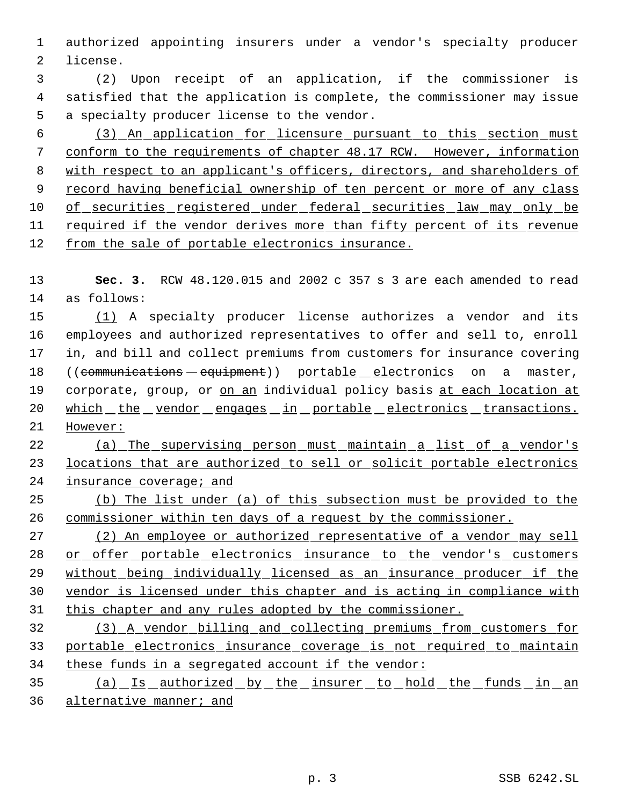authorized appointing insurers under a vendor's specialty producer license.

 (2) Upon receipt of an application, if the commissioner is satisfied that the application is complete, the commissioner may issue a specialty producer license to the vendor.

 (3) An application for licensure pursuant to this section must conform to the requirements of chapter 48.17 RCW. However, information with respect to an applicant's officers, directors, and shareholders of 9 record having beneficial ownership of ten percent or more of any class of securities registered under federal securities law may only be required if the vendor derives more than fifty percent of its revenue from the sale of portable electronics insurance.

 **Sec. 3.** RCW 48.120.015 and 2002 c 357 s 3 are each amended to read as follows:

 (1) A specialty producer license authorizes a vendor and its employees and authorized representatives to offer and sell to, enroll in, and bill and collect premiums from customers for insurance covering 18 ((communications - equipment)) portable electronics on a master, 19 corporate, group, or on an individual policy basis at each location at 20 which the vendor engages in portable electronics transactions. However:

 (a) The supervising person must maintain a list of a vendor's 23 locations that are authorized to sell or solicit portable electronics 24 insurance coverage; and

 (b) The list under (a) of this subsection must be provided to the commissioner within ten days of a request by the commissioner.

 (2) An employee or authorized representative of a vendor may sell or offer portable electronics insurance to the vendor's customers without being individually licensed as an insurance producer if the vendor is licensed under this chapter and is acting in compliance with this chapter and any rules adopted by the commissioner.

 (3) A vendor billing and collecting premiums from customers for portable electronics insurance coverage is not required to maintain 34 these funds in a segregated account if the vendor:

 (a) Is authorized by the insurer to hold the funds in an alternative manner; and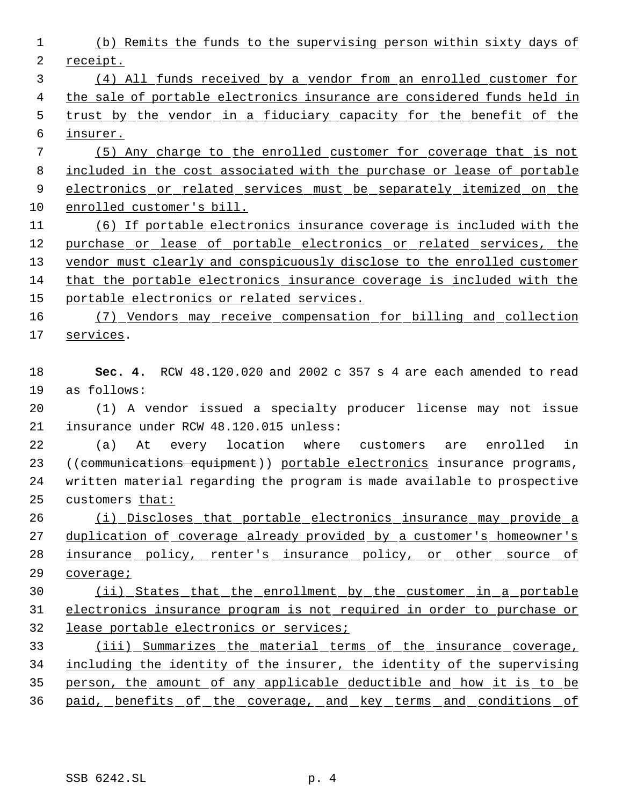(b) Remits the funds to the supervising person within sixty days of receipt.

 (4) All funds received by a vendor from an enrolled customer for the sale of portable electronics insurance are considered funds held in trust by the vendor in a fiduciary capacity for the benefit of the

insurer.

 (5) Any charge to the enrolled customer for coverage that is not included in the cost associated with the purchase or lease of portable 9 electronics or related services must be separately itemized on the enrolled customer's bill.

 (6) If portable electronics insurance coverage is included with the 12 purchase or lease of portable electronics or related services, the 13 vendor must clearly and conspicuously disclose to the enrolled customer that the portable electronics insurance coverage is included with the portable electronics or related services.

 (7) Vendors may receive compensation for billing and collection services.

 **Sec. 4.** RCW 48.120.020 and 2002 c 357 s 4 are each amended to read as follows:

 (1) A vendor issued a specialty producer license may not issue insurance under RCW 48.120.015 unless:

 (a) At every location where customers are enrolled in 23 ((communications equipment)) portable electronics insurance programs, written material regarding the program is made available to prospective customers that:

 (i) Discloses that portable electronics insurance may provide a 27 duplication of coverage already provided by a customer's homeowner's 28 insurance policy, renter's insurance policy, or other source of coverage;

 (ii) States that the enrollment by the customer in a portable electronics insurance program is not required in order to purchase or lease portable electronics or services;

 (iii) Summarizes the material terms of the insurance coverage, 34 including the identity of the insurer, the identity of the supervising person, the amount of any applicable deductible and how it is to be 36 paid, benefits of the coverage, and key terms and conditions of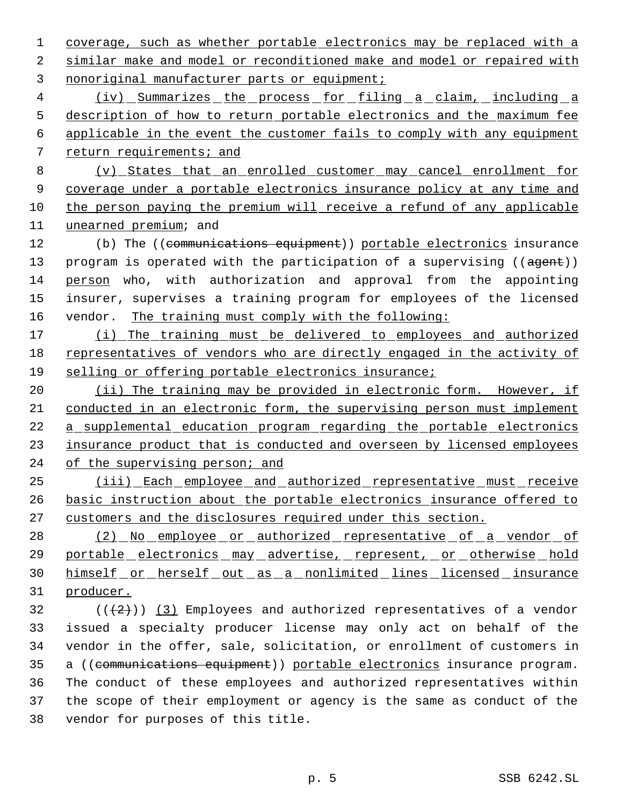coverage, such as whether portable electronics may be replaced with a similar make and model or reconditioned make and model or repaired with nonoriginal manufacturer parts or equipment;

 (iv) Summarizes the process for filing a claim, including a description of how to return portable electronics and the maximum fee applicable in the event the customer fails to comply with any equipment 7 return requirements; and

 (v) States that an enrolled customer may cancel enrollment for coverage under a portable electronics insurance policy at any time and the person paying the premium will receive a refund of any applicable unearned premium; and

12 (b) The ((communications equipment)) portable electronics insurance 13 program is operated with the participation of a supervising ((agent)) person who, with authorization and approval from the appointing insurer, supervises a training program for employees of the licensed vendor. The training must comply with the following:

 (i) The training must be delivered to employees and authorized representatives of vendors who are directly engaged in the activity of selling or offering portable electronics insurance;

20 (ii) The training may be provided in electronic form. However, if conducted in an electronic form, the supervising person must implement a supplemental education program regarding the portable electronics insurance product that is conducted and overseen by licensed employees 24 of the supervising person; and

 (iii) Each employee and authorized representative must receive basic instruction about the portable electronics insurance offered to customers and the disclosures required under this section.

28 (2) No employee or authorized representative of a vendor of 29 portable electronics may advertise, represent, or otherwise hold 30 himself or herself out as a nonlimited lines licensed insurance producer.

 $((+2)^{n})$  (3) Employees and authorized representatives of a vendor issued a specialty producer license may only act on behalf of the vendor in the offer, sale, solicitation, or enrollment of customers in 35 a ((communications equipment)) portable electronics insurance program. The conduct of these employees and authorized representatives within the scope of their employment or agency is the same as conduct of the vendor for purposes of this title.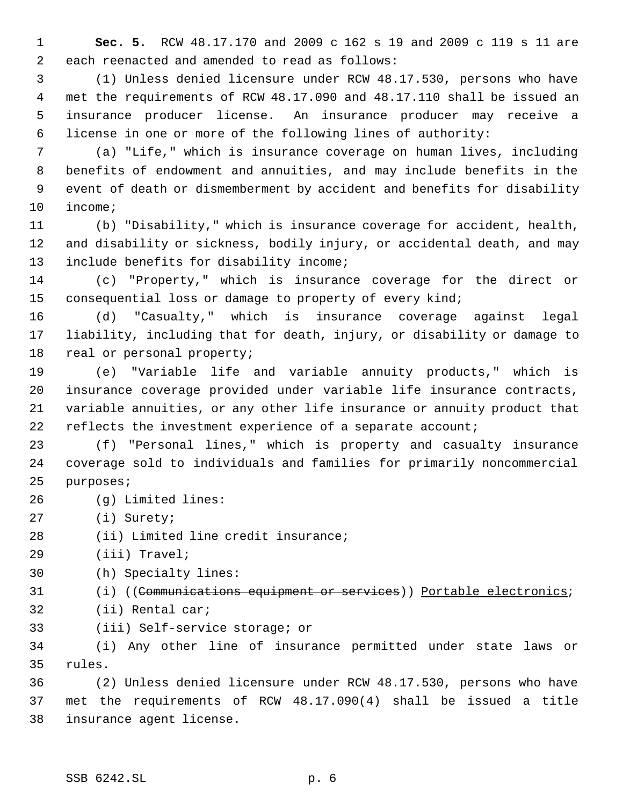**Sec. 5.** RCW 48.17.170 and 2009 c 162 s 19 and 2009 c 119 s 11 are each reenacted and amended to read as follows:

 (1) Unless denied licensure under RCW 48.17.530, persons who have met the requirements of RCW 48.17.090 and 48.17.110 shall be issued an insurance producer license. An insurance producer may receive a license in one or more of the following lines of authority:

 (a) "Life," which is insurance coverage on human lives, including benefits of endowment and annuities, and may include benefits in the event of death or dismemberment by accident and benefits for disability income;

 (b) "Disability," which is insurance coverage for accident, health, and disability or sickness, bodily injury, or accidental death, and may 13 include benefits for disability income;

 (c) "Property," which is insurance coverage for the direct or consequential loss or damage to property of every kind;

 (d) "Casualty," which is insurance coverage against legal liability, including that for death, injury, or disability or damage to real or personal property;

 (e) "Variable life and variable annuity products," which is insurance coverage provided under variable life insurance contracts, variable annuities, or any other life insurance or annuity product that reflects the investment experience of a separate account;

 (f) "Personal lines," which is property and casualty insurance coverage sold to individuals and families for primarily noncommercial purposes;

- (g) Limited lines:
- (i) Surety;
- (ii) Limited line credit insurance;
- (iii) Travel;
- (h) Specialty lines:
- 31 (i) ((Communications equipment or services)) Portable electronics;
- (ii) Rental car;
- (iii) Self-service storage; or

 (i) Any other line of insurance permitted under state laws or rules.

 (2) Unless denied licensure under RCW 48.17.530, persons who have met the requirements of RCW 48.17.090(4) shall be issued a title insurance agent license.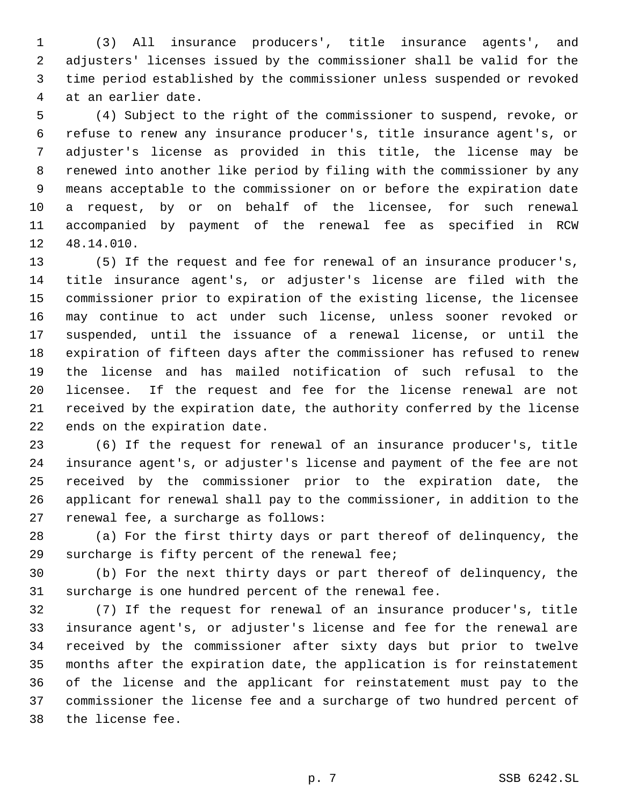(3) All insurance producers', title insurance agents', and adjusters' licenses issued by the commissioner shall be valid for the time period established by the commissioner unless suspended or revoked at an earlier date.

 (4) Subject to the right of the commissioner to suspend, revoke, or refuse to renew any insurance producer's, title insurance agent's, or adjuster's license as provided in this title, the license may be renewed into another like period by filing with the commissioner by any means acceptable to the commissioner on or before the expiration date a request, by or on behalf of the licensee, for such renewal accompanied by payment of the renewal fee as specified in RCW 48.14.010.

 (5) If the request and fee for renewal of an insurance producer's, title insurance agent's, or adjuster's license are filed with the commissioner prior to expiration of the existing license, the licensee may continue to act under such license, unless sooner revoked or suspended, until the issuance of a renewal license, or until the expiration of fifteen days after the commissioner has refused to renew the license and has mailed notification of such refusal to the licensee. If the request and fee for the license renewal are not received by the expiration date, the authority conferred by the license ends on the expiration date.

 (6) If the request for renewal of an insurance producer's, title insurance agent's, or adjuster's license and payment of the fee are not received by the commissioner prior to the expiration date, the applicant for renewal shall pay to the commissioner, in addition to the renewal fee, a surcharge as follows:

 (a) For the first thirty days or part thereof of delinquency, the surcharge is fifty percent of the renewal fee;

 (b) For the next thirty days or part thereof of delinquency, the surcharge is one hundred percent of the renewal fee.

 (7) If the request for renewal of an insurance producer's, title insurance agent's, or adjuster's license and fee for the renewal are received by the commissioner after sixty days but prior to twelve months after the expiration date, the application is for reinstatement of the license and the applicant for reinstatement must pay to the commissioner the license fee and a surcharge of two hundred percent of the license fee.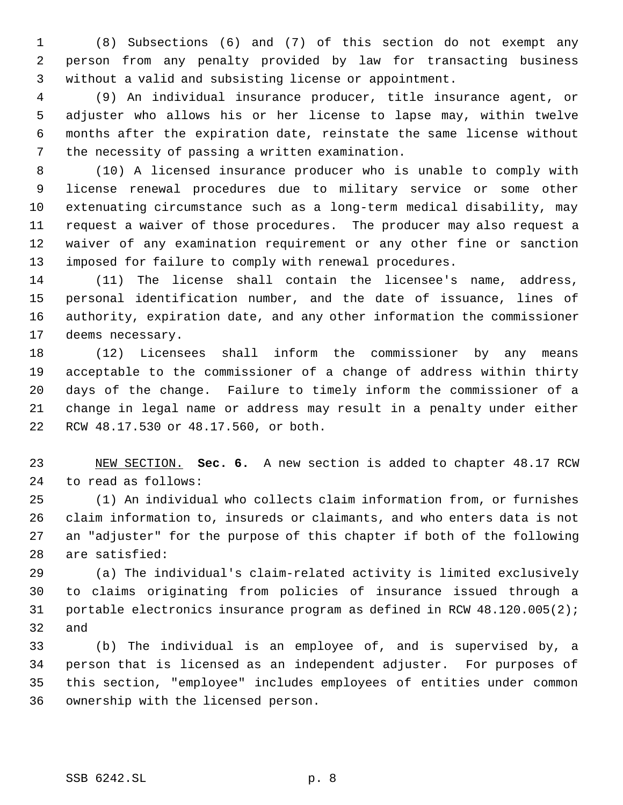(8) Subsections (6) and (7) of this section do not exempt any person from any penalty provided by law for transacting business without a valid and subsisting license or appointment.

 (9) An individual insurance producer, title insurance agent, or adjuster who allows his or her license to lapse may, within twelve months after the expiration date, reinstate the same license without the necessity of passing a written examination.

 (10) A licensed insurance producer who is unable to comply with license renewal procedures due to military service or some other extenuating circumstance such as a long-term medical disability, may request a waiver of those procedures. The producer may also request a waiver of any examination requirement or any other fine or sanction imposed for failure to comply with renewal procedures.

 (11) The license shall contain the licensee's name, address, personal identification number, and the date of issuance, lines of authority, expiration date, and any other information the commissioner deems necessary.

 (12) Licensees shall inform the commissioner by any means acceptable to the commissioner of a change of address within thirty days of the change. Failure to timely inform the commissioner of a change in legal name or address may result in a penalty under either RCW 48.17.530 or 48.17.560, or both.

 NEW SECTION. **Sec. 6.** A new section is added to chapter 48.17 RCW to read as follows:

 (1) An individual who collects claim information from, or furnishes claim information to, insureds or claimants, and who enters data is not an "adjuster" for the purpose of this chapter if both of the following are satisfied:

 (a) The individual's claim-related activity is limited exclusively to claims originating from policies of insurance issued through a portable electronics insurance program as defined in RCW 48.120.005(2); and

 (b) The individual is an employee of, and is supervised by, a person that is licensed as an independent adjuster. For purposes of this section, "employee" includes employees of entities under common ownership with the licensed person.